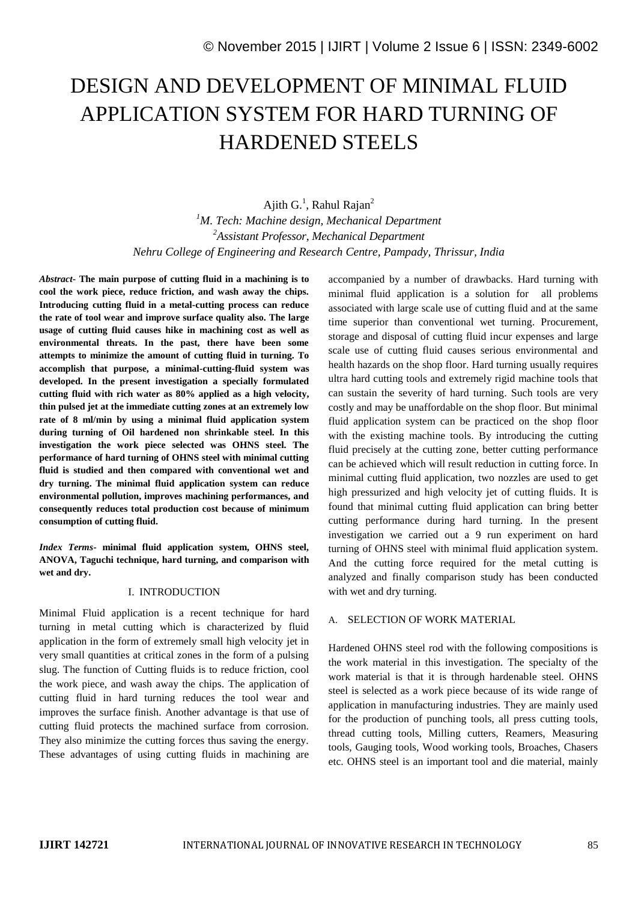# DESIGN AND DEVELOPMENT OF MINIMAL FLUID APPLICATION SYSTEM FOR HARD TURNING OF HARDENED STEELS

Ajith  $G<sup>1</sup>$ , Rahul Rajan<sup>2</sup> *<sup>1</sup>M. Tech: Machine design, Mechanical Department <sup>2</sup>Assistant Professor, Mechanical Department Nehru College of Engineering and Research Centre, Pampady, Thrissur, India*

*Abstract***- The main purpose of cutting fluid in a machining is to cool the work piece, reduce friction, and wash away the chips. Introducing cutting fluid in a metal-cutting process can reduce the rate of tool wear and improve surface quality also. The large usage of cutting fluid causes hike in machining cost as well as environmental threats. In the past, there have been some attempts to minimize the amount of cutting fluid in turning. To accomplish that purpose, a minimal-cutting-fluid system was developed. In the present investigation a specially formulated cutting fluid with rich water as 80% applied as a high velocity, thin pulsed jet at the immediate cutting zones at an extremely low rate of 8 ml/min by using a minimal fluid application system during turning of Oil hardened non shrinkable steel. In this investigation the work piece selected was OHNS steel. The performance of hard turning of OHNS steel with minimal cutting fluid is studied and then compared with conventional wet and dry turning. The minimal fluid application system can reduce environmental pollution, improves machining performances, and consequently reduces total production cost because of minimum consumption of cutting fluid.**

*Index Terms-* **minimal fluid application system, OHNS steel, ANOVA, Taguchi technique, hard turning, and comparison with wet and dry.**

## I. INTRODUCTION

Minimal Fluid application is a recent technique for hard turning in metal cutting which is characterized by fluid application in the form of extremely small high velocity jet in very small quantities at critical zones in the form of a pulsing slug. The function of Cutting fluids is to reduce friction, cool the work piece, and wash away the chips. The application of cutting fluid in hard turning reduces the tool wear and improves the surface finish. Another advantage is that use of cutting fluid protects the machined surface from corrosion. They also minimize the cutting forces thus saving the energy. These advantages of using cutting fluids in machining are

accompanied by a number of drawbacks. Hard turning with minimal fluid application is a solution for all problems associated with large scale use of cutting fluid and at the same time superior than conventional wet turning. Procurement, storage and disposal of cutting fluid incur expenses and large scale use of cutting fluid causes serious environmental and health hazards on the shop floor. Hard turning usually requires ultra hard cutting tools and extremely rigid machine tools that can sustain the severity of hard turning. Such tools are very costly and may be unaffordable on the shop floor. But minimal fluid application system can be practiced on the shop floor with the existing machine tools. By introducing the cutting fluid precisely at the cutting zone, better cutting performance can be achieved which will result reduction in cutting force. In minimal cutting fluid application, two nozzles are used to get high pressurized and high velocity jet of cutting fluids. It is found that minimal cutting fluid application can bring better cutting performance during hard turning. In the present investigation we carried out a 9 run experiment on hard turning of OHNS steel with minimal fluid application system. And the cutting force required for the metal cutting is analyzed and finally comparison study has been conducted with wet and dry turning.

## A. SELECTION OF WORK MATERIAL

Hardened OHNS steel rod with the following compositions is the work material in this investigation. The specialty of the work material is that it is through hardenable steel. OHNS steel is selected as a work piece because of its wide range of application in manufacturing industries. They are mainly used for the production of punching tools, all press cutting tools, thread cutting tools, Milling cutters, Reamers, Measuring tools, Gauging tools, Wood working tools, Broaches, Chasers etc. OHNS steel is an important tool and die material, mainly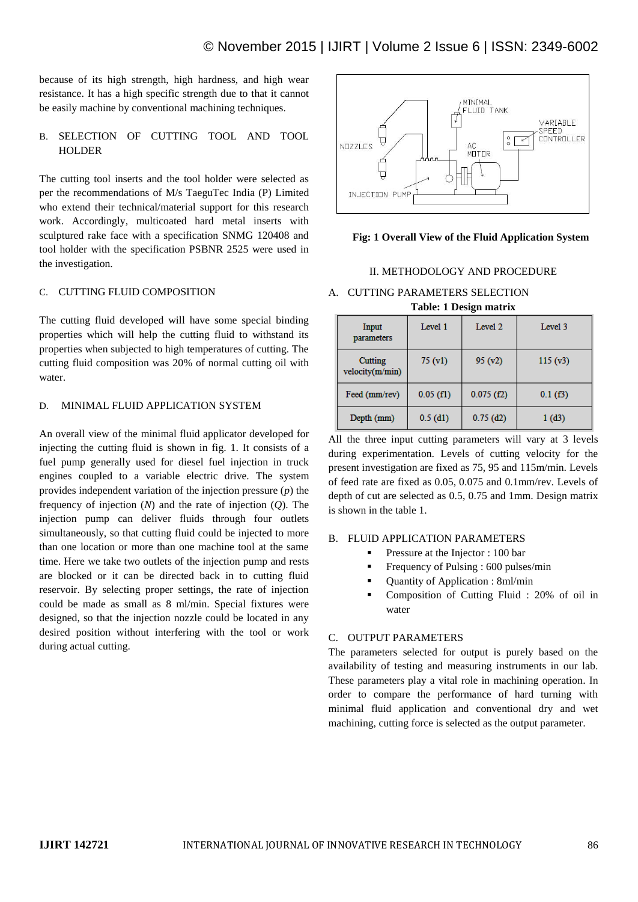because of its high strength, high hardness, and high wear resistance. It has a high specific strength due to that it cannot be easily machine by conventional machining techniques.

# B. SELECTION OF CUTTING TOOL AND TOOL HOLDER

The cutting tool inserts and the tool holder were selected as per the recommendations of M/s TaeguTec India (P) Limited who extend their technical/material support for this research work. Accordingly, multicoated hard metal inserts with sculptured rake face with a specification SNMG 120408 and tool holder with the specification PSBNR 2525 were used in the investigation.

## C. CUTTING FLUID COMPOSITION

The cutting fluid developed will have some special binding properties which will help the cutting fluid to withstand its properties when subjected to high temperatures of cutting. The cutting fluid composition was 20% of normal cutting oil with water.

## D. MINIMAL FLUID APPLICATION SYSTEM

An overall view of the minimal fluid applicator developed for injecting the cutting fluid is shown in fig. 1. It consists of a fuel pump generally used for diesel fuel injection in truck engines coupled to a variable electric drive. The system provides independent variation of the injection pressure (*p*) the frequency of injection (*N*) and the rate of injection (*Q*). The injection pump can deliver fluids through four outlets simultaneously, so that cutting fluid could be injected to more than one location or more than one machine tool at the same time. Here we take two outlets of the injection pump and rests are blocked or it can be directed back in to cutting fluid reservoir. By selecting proper settings, the rate of injection could be made as small as 8 ml/min. Special fixtures were designed, so that the injection nozzle could be located in any desired position without interfering with the tool or work during actual cutting.



**Fig: 1 Overall View of the Fluid Application System**

#### II. METHODOLOGY AND PROCEDURE

#### A. CUTTING PARAMETERS SELECTION **Table: 1 Design matrix**

| Input<br>parameters        | Level 1     | Level 2     | Level 3 |  |  |  |
|----------------------------|-------------|-------------|---------|--|--|--|
| Cutting<br>velocity(m/min) | 75(y1)      | 95(y2)      | 115(y3) |  |  |  |
| Feed (mm/rev)              | $0.05$ (f1) | 0.075(f2)   | 0.1(f3) |  |  |  |
| Depth (mm)                 | $0.5$ (d1)  | $0.75$ (d2) | 1 (d3)  |  |  |  |

All the three input cutting parameters will vary at 3 levels during experimentation. Levels of cutting velocity for the present investigation are fixed as 75, 95 and 115m/min. Levels of feed rate are fixed as 0.05, 0.075 and 0.1mm/rev. Levels of depth of cut are selected as 0.5, 0.75 and 1mm. Design matrix is shown in the table 1.

## B. FLUID APPLICATION PARAMETERS

- Pressure at the Injector : 100 bar
- Frequency of Pulsing : 600 pulses/min
- Quantity of Application : 8ml/min
- Composition of Cutting Fluid : 20% of oil in water

# C. OUTPUT PARAMETERS

The parameters selected for output is purely based on the availability of testing and measuring instruments in our lab. These parameters play a vital role in machining operation. In order to compare the performance of hard turning with minimal fluid application and conventional dry and wet machining, cutting force is selected as the output parameter.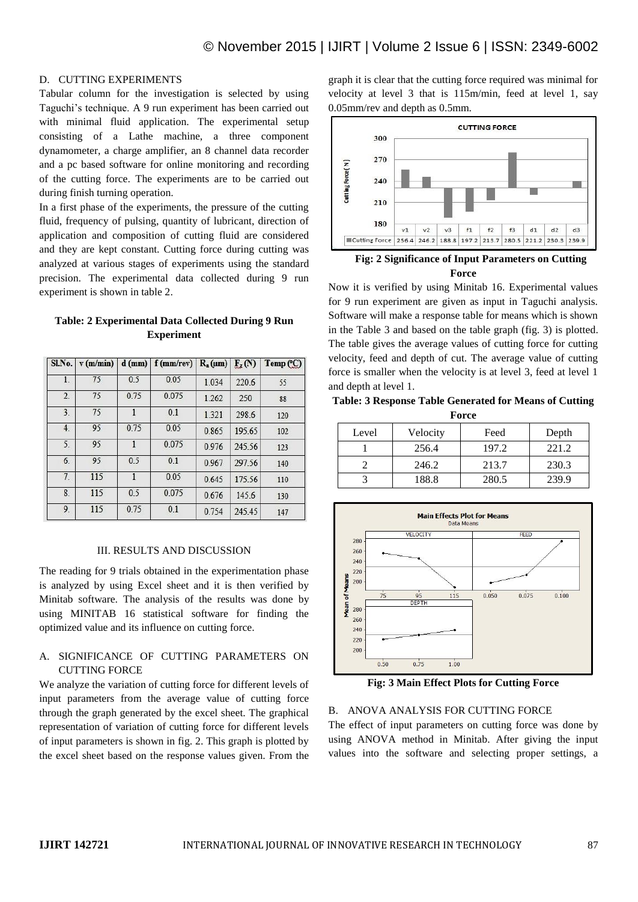## D. CUTTING EXPERIMENTS

Tabular column for the investigation is selected by using Taguchi's technique. A 9 run experiment has been carried out with minimal fluid application. The experimental setup consisting of a Lathe machine, a three component dynamometer, a charge amplifier, an 8 channel data recorder and a pc based software for online monitoring and recording of the cutting force. The experiments are to be carried out during finish turning operation.

In a first phase of the experiments, the pressure of the cutting fluid, frequency of pulsing, quantity of lubricant, direction of application and composition of cutting fluid are considered and they are kept constant. Cutting force during cutting was analyzed at various stages of experiments using the standard precision. The experimental data collected during 9 run experiment is shown in table 2.

| Table: 2 Experimental Data Collected During 9 Run |                   |  |  |
|---------------------------------------------------|-------------------|--|--|
|                                                   | <b>Experiment</b> |  |  |

| SLNo. | v(m/min) |      | $d$ (mm)   f (mm/rev) | $R_a(\mu m)$ | $F_{z}(N)$ | Temp (°C) |
|-------|----------|------|-----------------------|--------------|------------|-----------|
| 1.    | 75       | 0.5  | 0.05                  | 1.034        | 220.6      | 55        |
| 2.    | 75       | 0.75 | 0.075                 | 1.262        | 250        | 88        |
| 3.    | 75       | 1    | 0.1                   | 1.321        | 298.6      | 120       |
| 4.    | 95       | 0.75 | 0.05                  | 0.865        | 195.65     | 102       |
| 5.    | 95       |      | 0.075                 | 0.976        | 245.56     | 123       |
| 6.    | 95       | 0.5  | 0.1                   | 0.967        | 297.56     | 140       |
| 7.    | 115      |      | 0.05                  | 0.645        | 175.56     | 110       |
| 8.    | 115      | 0.5  | 0.075                 | 0.676        | 145.6      | 130       |
| 9.    | 115      | 0.75 | 0.1                   | 0.754        | 245.45     | 147       |

#### III. RESULTS AND DISCUSSION

The reading for 9 trials obtained in the experimentation phase is analyzed by using Excel sheet and it is then verified by Minitab software. The analysis of the results was done by using MINITAB 16 statistical software for finding the optimized value and its influence on cutting force.

# A. SIGNIFICANCE OF CUTTING PARAMETERS ON CUTTING FORCE

We analyze the variation of cutting force for different levels of input parameters from the average value of cutting force through the graph generated by the excel sheet. The graphical representation of variation of cutting force for different levels of input parameters is shown in fig. 2. This graph is plotted by the excel sheet based on the response values given. From the

graph it is clear that the cutting force required was minimal for velocity at level 3 that is 115m/min, feed at level 1, say 0.05mm/rev and depth as 0.5mm.



**Fig: 2 Significance of Input Parameters on Cutting Force**

Now it is verified by using Minitab 16. Experimental values for 9 run experiment are given as input in Taguchi analysis. Software will make a response table for means which is shown in the Table 3 and based on the table graph (fig. 3) is plotted. The table gives the average values of cutting force for cutting velocity, feed and depth of cut. The average value of cutting force is smaller when the velocity is at level 3, feed at level 1 and depth at level 1.

**Table: 3 Response Table Generated for Means of Cutting Force**

| Level | Velocity | Feed  | Depth |
|-------|----------|-------|-------|
|       | 256.4    | 197.2 | 221.2 |
|       | 246.2    | 213.7 | 230.3 |
|       | 188.8    | 280.5 | 239.9 |



**Fig: 3 Main Effect Plots for Cutting Force**

#### B. ANOVA ANALYSIS FOR CUTTING FORCE

The effect of input parameters on cutting force was done by using ANOVA method in Minitab. After giving the input values into the software and selecting proper settings, a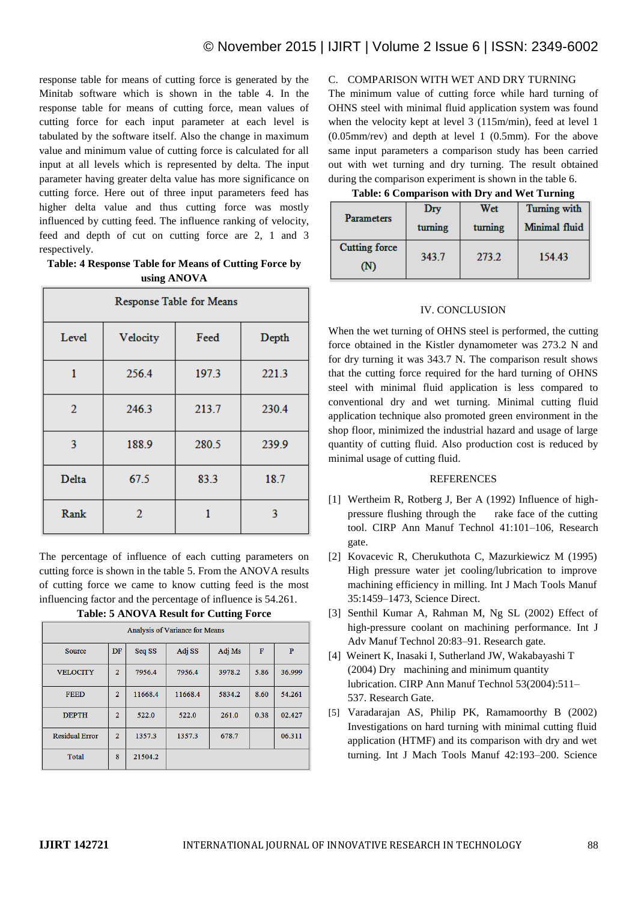response table for means of cutting force is generated by the Minitab software which is shown in the table 4. In the response table for means of cutting force, mean values of cutting force for each input parameter at each level is tabulated by the software itself. Also the change in maximum value and minimum value of cutting force is calculated for all input at all levels which is represented by delta. The input parameter having greater delta value has more significance on cutting force. Here out of three input parameters feed has higher delta value and thus cutting force was mostly influenced by cutting feed. The influence ranking of velocity, feed and depth of cut on cutting force are 2, 1 and 3 respectively.

**Table: 4 Response Table for Means of Cutting Force by using ANOVA**

| Response Table for Means |          |       |       |  |  |
|--------------------------|----------|-------|-------|--|--|
| Level                    | Velocity | Feed  | Depth |  |  |
| 1                        | 256.4    | 197.3 | 221.3 |  |  |
| 2                        | 246.3    | 213.7 | 230.4 |  |  |
| 3                        | 188.9    | 280.5 | 239.9 |  |  |
| Delta                    | 67.5     | 83.3  | 18.7  |  |  |
| Rank                     | 2        | 1     | 3     |  |  |

The percentage of influence of each cutting parameters on cutting force is shown in the table 5. From the ANOVA results of cutting force we came to know cutting feed is the most influencing factor and the percentage of influence is 54.261.

**Table: 5 ANOVA Result for Cutting Force**

| <b>Analysis of Variance for Means</b> |                |         |         |                    |      |        |
|---------------------------------------|----------------|---------|---------|--------------------|------|--------|
| <b>Source</b>                         | DF             | Seq SS  | Adj SS  | Ad <sub>1</sub> Ms | F    | P      |
| <b>VELOCITY</b>                       | $\overline{2}$ | 7956.4  | 7956.4  | 3978.2             | 5.86 | 36.999 |
| <b>FEED</b>                           | $\overline{2}$ | 11668.4 | 11668.4 | 5834.2             | 8.60 | 54.261 |
| <b>DEPTH</b>                          | $\overline{2}$ | 522.0   | 522.0   | 261.0              | 0.38 | 02.427 |
| <b>Residual Error</b>                 | $\overline{2}$ | 1357.3  | 1357.3  | 678.7              |      | 06.311 |
| <b>Total</b>                          | 8              | 21504.2 |         |                    |      |        |

C. COMPARISON WITH WET AND DRY TURNING

The minimum value of cutting force while hard turning of OHNS steel with minimal fluid application system was found when the velocity kept at level 3 (115m/min), feed at level 1 (0.05mm/rev) and depth at level 1 (0.5mm). For the above same input parameters a comparison study has been carried out with wet turning and dry turning. The result obtained during the comparison experiment is shown in the table 6.

| Table: 6 Comparison with Dry and Wet Turning |
|----------------------------------------------|
|----------------------------------------------|

|                      | Dry     | Wet     | Turning with  |  |
|----------------------|---------|---------|---------------|--|
| <b>Parameters</b>    | turning | turning | Minimal fluid |  |
| <b>Cutting force</b> | 343.7   | 273.2   | 154.43        |  |
| N                    |         |         |               |  |

#### IV. CONCLUSION

When the wet turning of OHNS steel is performed, the cutting force obtained in the Kistler dynamometer was 273.2 N and for dry turning it was 343.7 N. The comparison result shows that the cutting force required for the hard turning of OHNS steel with minimal fluid application is less compared to conventional dry and wet turning. Minimal cutting fluid application technique also promoted green environment in the shop floor, minimized the industrial hazard and usage of large quantity of cutting fluid. Also production cost is reduced by minimal usage of cutting fluid.

#### **REFERENCES**

- [1] Wertheim R, Rotberg J, Ber A (1992) Influence of highpressure flushing through the rake face of the cutting tool. CIRP Ann Manuf Technol 41:101–106, Research gate.
- [2] Kovacevic R, Cherukuthota C, Mazurkiewicz M (1995) High pressure water jet cooling/lubrication to improve machining efficiency in milling. Int J Mach Tools Manuf 35:1459–1473, Science Direct.
- [3] Senthil Kumar A, Rahman M, Ng SL (2002) Effect of high-pressure coolant on machining performance. Int J Adv Manuf Technol 20:83–91. Research gate.
- [4] Weinert K, Inasaki I, Sutherland JW, Wakabayashi T (2004) Dry machining and minimum quantity lubrication. CIRP Ann Manuf Technol 53(2004):511– 537. Research Gate.
- [5] Varadarajan AS, Philip PK, Ramamoorthy B (2002) Investigations on hard turning with minimal cutting fluid application (HTMF) and its comparison with dry and wet turning. Int J Mach Tools Manuf 42:193–200. Science